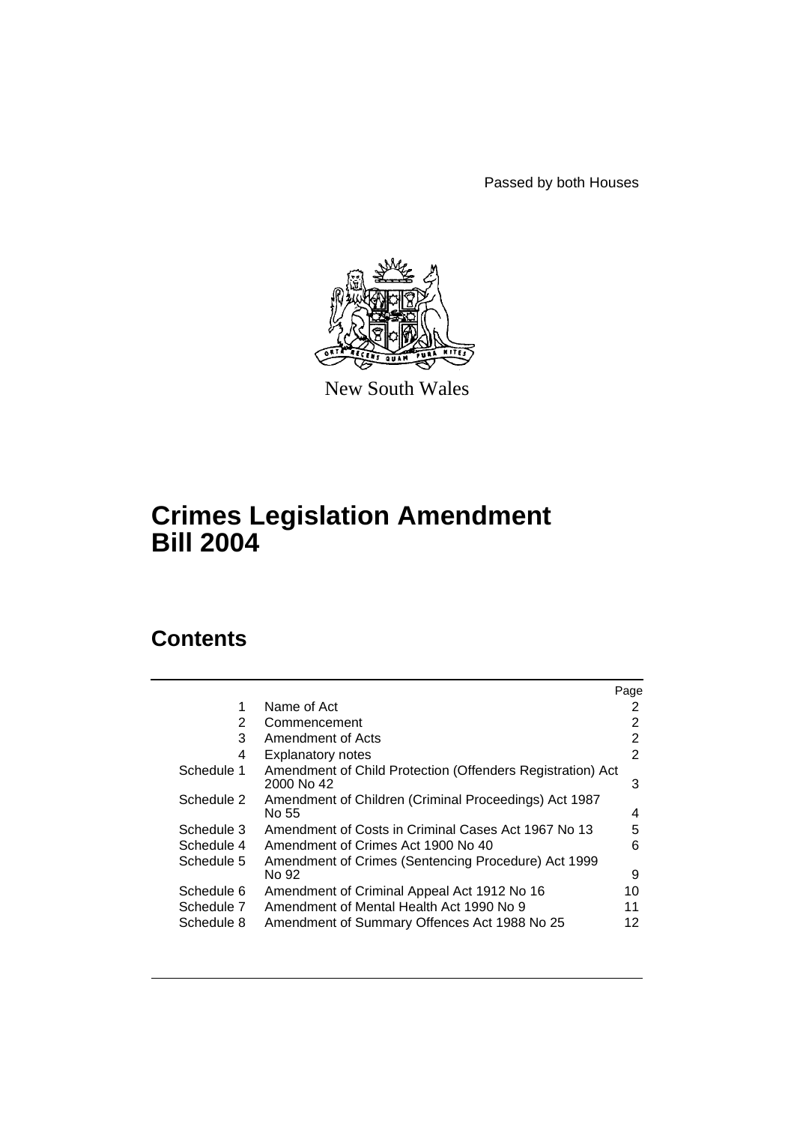Passed by both Houses



New South Wales

# **Crimes Legislation Amendment Bill 2004**

# **Contents**

|            |                                                                          | Page |
|------------|--------------------------------------------------------------------------|------|
| 1          | Name of Act                                                              | 2    |
| 2          | Commencement                                                             | 2    |
| 3          | Amendment of Acts                                                        | 2    |
| 4          | <b>Explanatory notes</b>                                                 | 2    |
| Schedule 1 | Amendment of Child Protection (Offenders Registration) Act<br>2000 No 42 | 3    |
| Schedule 2 | Amendment of Children (Criminal Proceedings) Act 1987<br>No 55           | 4    |
| Schedule 3 | Amendment of Costs in Criminal Cases Act 1967 No 13                      | 5    |
| Schedule 4 | Amendment of Crimes Act 1900 No 40                                       | 6    |
| Schedule 5 | Amendment of Crimes (Sentencing Procedure) Act 1999<br>No 92             | 9    |
| Schedule 6 | Amendment of Criminal Appeal Act 1912 No 16                              | 10   |
| Schedule 7 | Amendment of Mental Health Act 1990 No 9                                 | 11   |
| Schedule 8 | Amendment of Summary Offences Act 1988 No 25                             | 12   |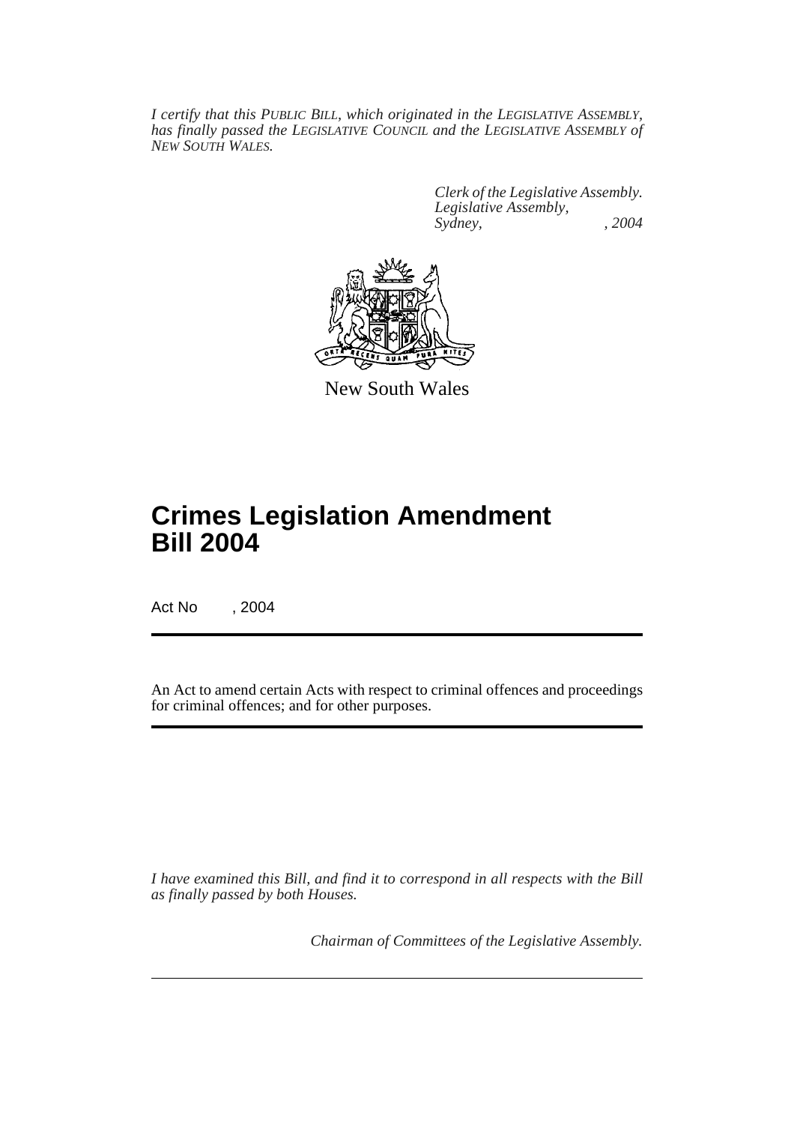*I certify that this PUBLIC BILL, which originated in the LEGISLATIVE ASSEMBLY, has finally passed the LEGISLATIVE COUNCIL and the LEGISLATIVE ASSEMBLY of NEW SOUTH WALES.*

> *Clerk of the Legislative Assembly. Legislative Assembly, Sydney, , 2004*



New South Wales

# **Crimes Legislation Amendment Bill 2004**

Act No , 2004

An Act to amend certain Acts with respect to criminal offences and proceedings for criminal offences; and for other purposes.

*I have examined this Bill, and find it to correspond in all respects with the Bill as finally passed by both Houses.*

*Chairman of Committees of the Legislative Assembly.*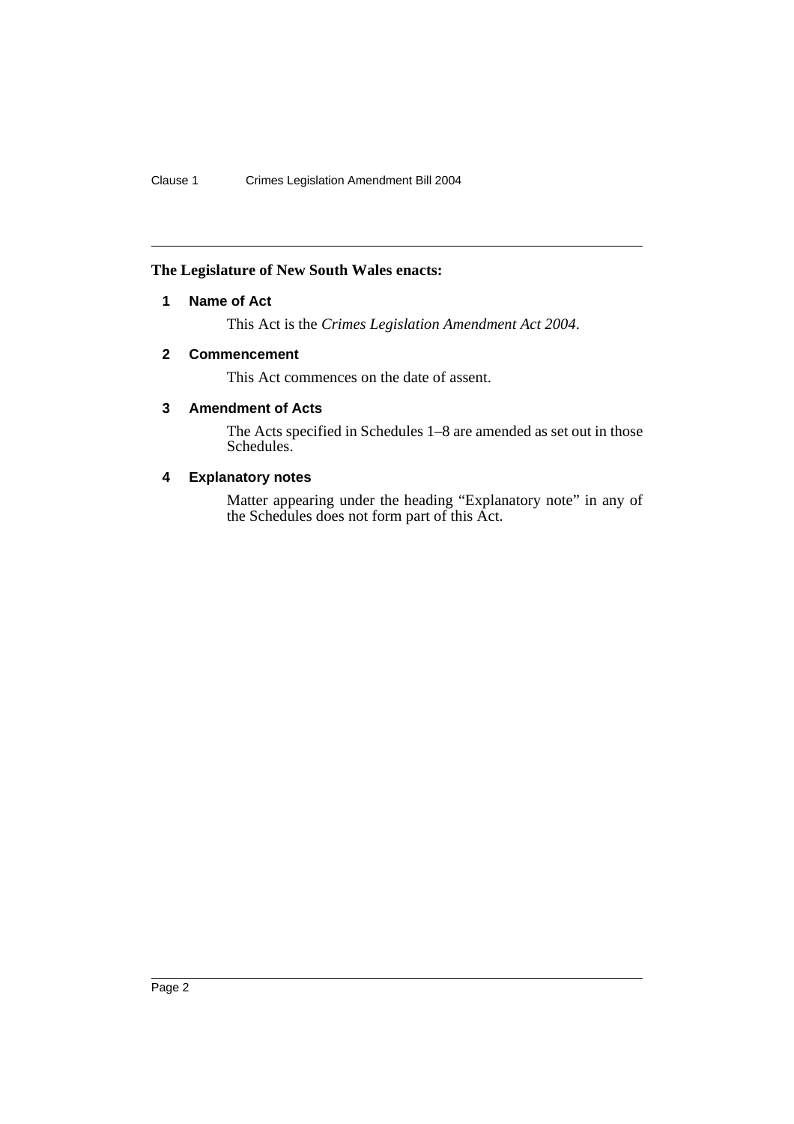# **The Legislature of New South Wales enacts:**

# **1 Name of Act**

This Act is the *Crimes Legislation Amendment Act 2004*.

# **2 Commencement**

This Act commences on the date of assent.

# **3 Amendment of Acts**

The Acts specified in Schedules 1–8 are amended as set out in those Schedules.

# **4 Explanatory notes**

Matter appearing under the heading "Explanatory note" in any of the Schedules does not form part of this Act.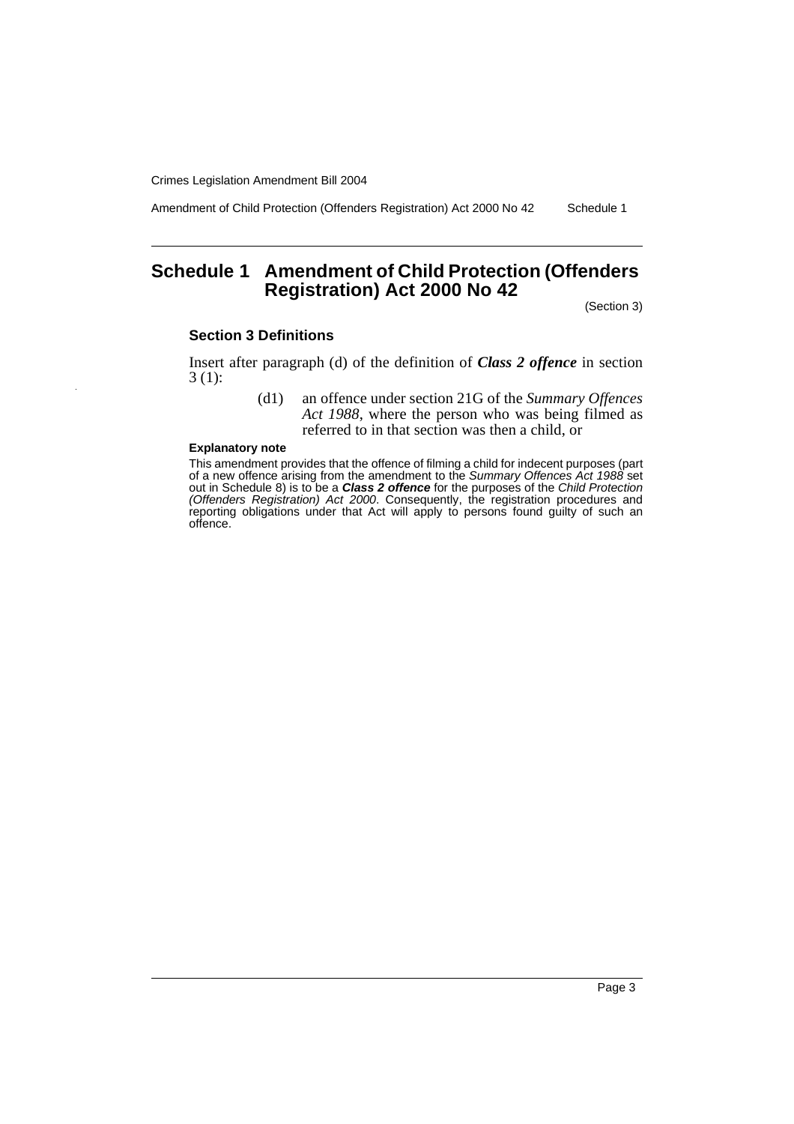Amendment of Child Protection (Offenders Registration) Act 2000 No 42 Schedule 1

# **Schedule 1 Amendment of Child Protection (Offenders Registration) Act 2000 No 42**

(Section 3)

#### **Section 3 Definitions**

Insert after paragraph (d) of the definition of *Class 2 offence* in section 3 (1):

> (d1) an offence under section 21G of the *Summary Offences Act 1988*, where the person who was being filmed as referred to in that section was then a child, or

#### **Explanatory note**

This amendment provides that the offence of filming a child for indecent purposes (part of a new offence arising from the amendment to the Summary Offences Act 1988 set out in Schedule 8) is to be a **Class 2 offence** for the purposes of the Child Protection (Offenders Registration) Act 2000. Consequently, the registration procedures and reporting obligations under that Act will apply to persons found guilty of such an offence.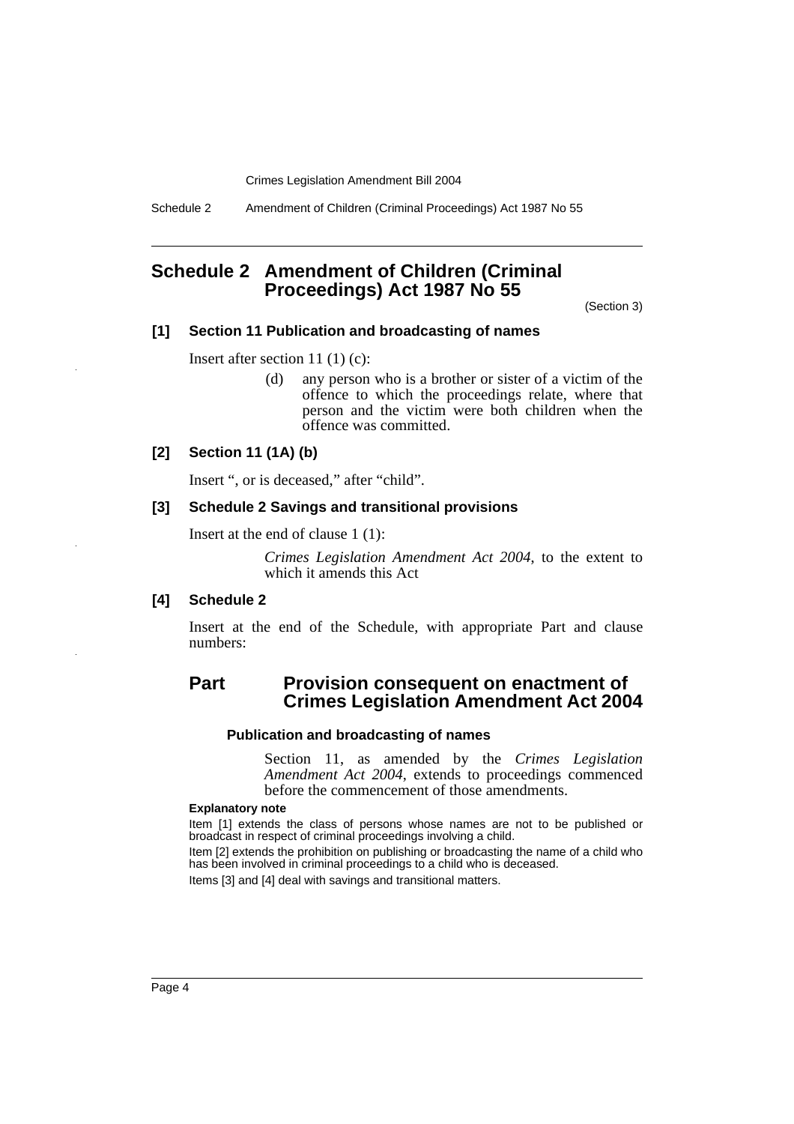Schedule 2 Amendment of Children (Criminal Proceedings) Act 1987 No 55

# **Schedule 2 Amendment of Children (Criminal Proceedings) Act 1987 No 55**

(Section 3)

## **[1] Section 11 Publication and broadcasting of names**

Insert after section 11 (1) (c):

(d) any person who is a brother or sister of a victim of the offence to which the proceedings relate, where that person and the victim were both children when the offence was committed.

## **[2] Section 11 (1A) (b)**

Insert ", or is deceased," after "child".

#### **[3] Schedule 2 Savings and transitional provisions**

Insert at the end of clause 1 (1):

*Crimes Legislation Amendment Act 2004*, to the extent to which it amends this Act

#### **[4] Schedule 2**

Insert at the end of the Schedule, with appropriate Part and clause numbers:

# **Part Provision consequent on enactment of Crimes Legislation Amendment Act 2004**

#### **Publication and broadcasting of names**

Section 11, as amended by the *Crimes Legislation Amendment Act 2004*, extends to proceedings commenced before the commencement of those amendments.

#### **Explanatory note**

Item [1] extends the class of persons whose names are not to be published or broadcast in respect of criminal proceedings involving a child.

Item [2] extends the prohibition on publishing or broadcasting the name of a child who has been involved in criminal proceedings to a child who is deceased.

Items [3] and [4] deal with savings and transitional matters.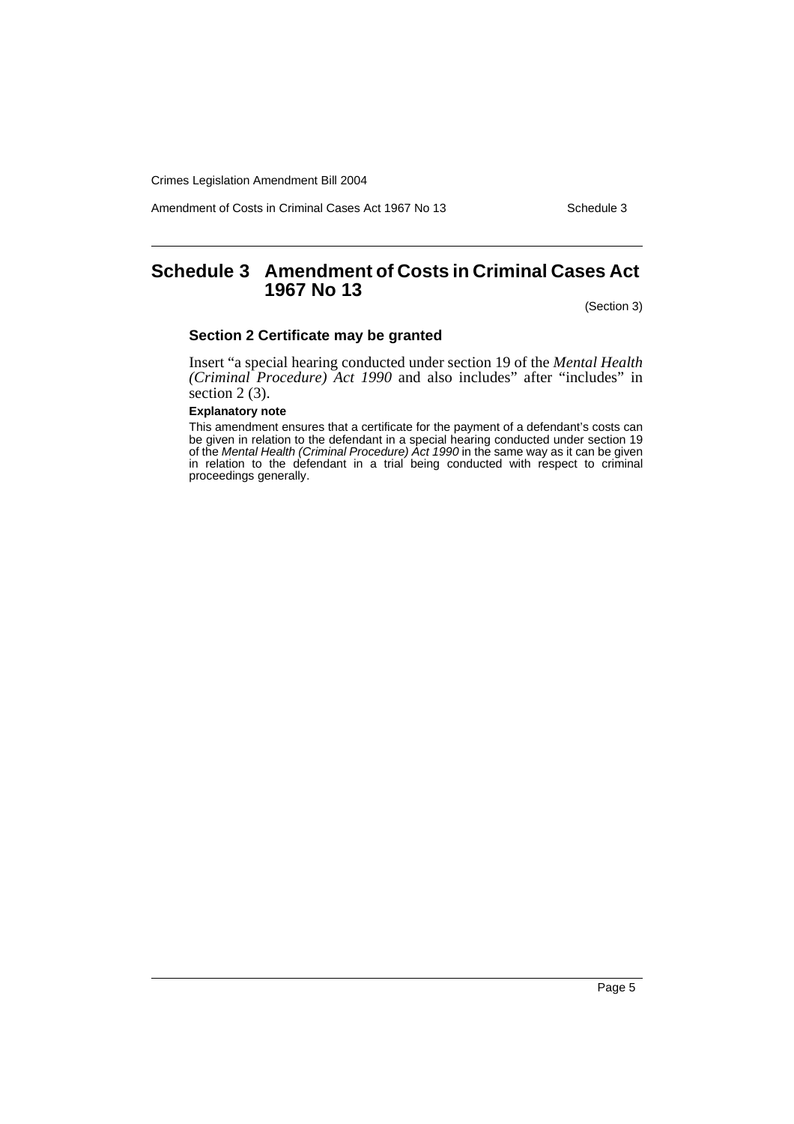Amendment of Costs in Criminal Cases Act 1967 No 13 Schedule 3

# **Schedule 3 Amendment of Costs in Criminal Cases Act 1967 No 13**

(Section 3)

## **Section 2 Certificate may be granted**

Insert "a special hearing conducted under section 19 of the *Mental Health (Criminal Procedure) Act 1990* and also includes" after "includes" in section 2 (3).

#### **Explanatory note**

This amendment ensures that a certificate for the payment of a defendant's costs can be given in relation to the defendant in a special hearing conducted under section 19 of the *Mental Health (Criminal Procedure) Act 1990* in the same way as it can be given in relation to the defendant in a trial being conducted with respect to criminal proceedings generally.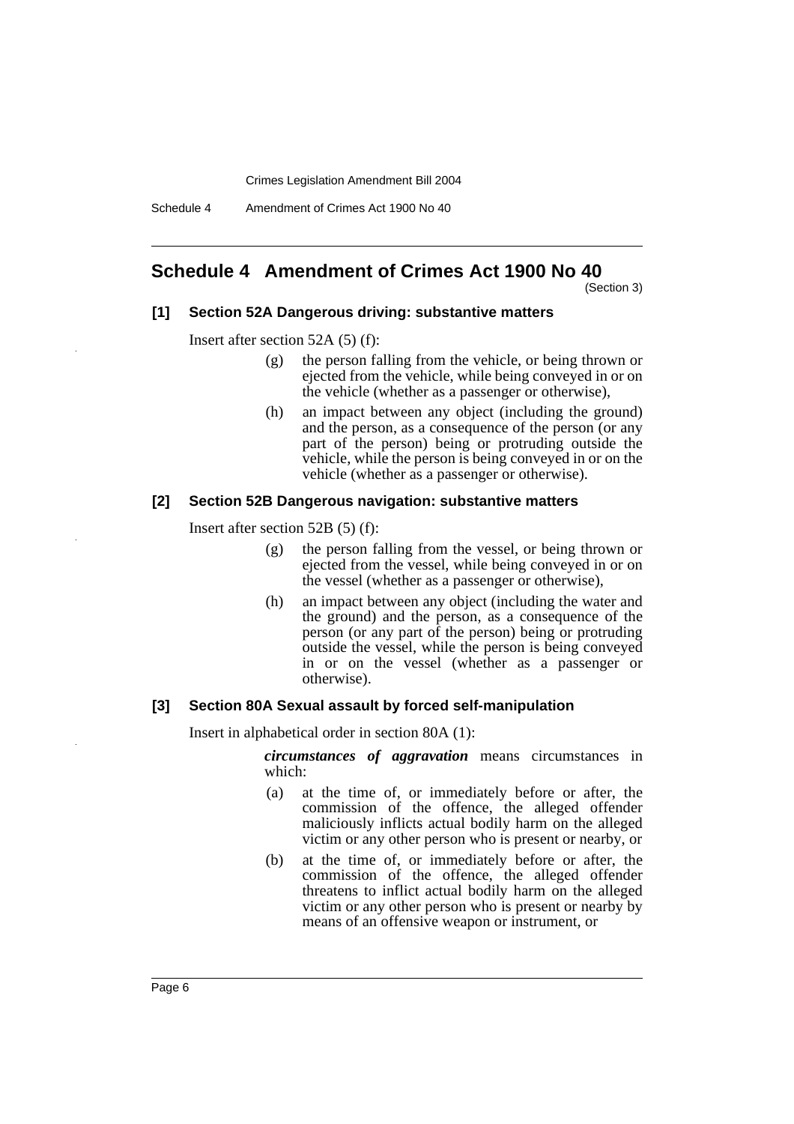Schedule 4 Amendment of Crimes Act 1900 No 40

# **Schedule 4 Amendment of Crimes Act 1900 No 40**

(Section 3)

## **[1] Section 52A Dangerous driving: substantive matters**

Insert after section 52A (5) (f):

- (g) the person falling from the vehicle, or being thrown or ejected from the vehicle, while being conveyed in or on the vehicle (whether as a passenger or otherwise),
- (h) an impact between any object (including the ground) and the person, as a consequence of the person (or any part of the person) being or protruding outside the vehicle, while the person is being conveyed in or on the vehicle (whether as a passenger or otherwise).

## **[2] Section 52B Dangerous navigation: substantive matters**

Insert after section 52B (5) (f):

- (g) the person falling from the vessel, or being thrown or ejected from the vessel, while being conveyed in or on the vessel (whether as a passenger or otherwise),
- (h) an impact between any object (including the water and the ground) and the person, as a consequence of the person (or any part of the person) being or protruding outside the vessel, while the person is being conveyed in or on the vessel (whether as a passenger or otherwise).

## **[3] Section 80A Sexual assault by forced self-manipulation**

Insert in alphabetical order in section 80A (1):

*circumstances of aggravation* means circumstances in which:

- (a) at the time of, or immediately before or after, the commission of the offence, the alleged offender maliciously inflicts actual bodily harm on the alleged victim or any other person who is present or nearby, or
- (b) at the time of, or immediately before or after, the commission of the offence, the alleged offender threatens to inflict actual bodily harm on the alleged victim or any other person who is present or nearby by means of an offensive weapon or instrument, or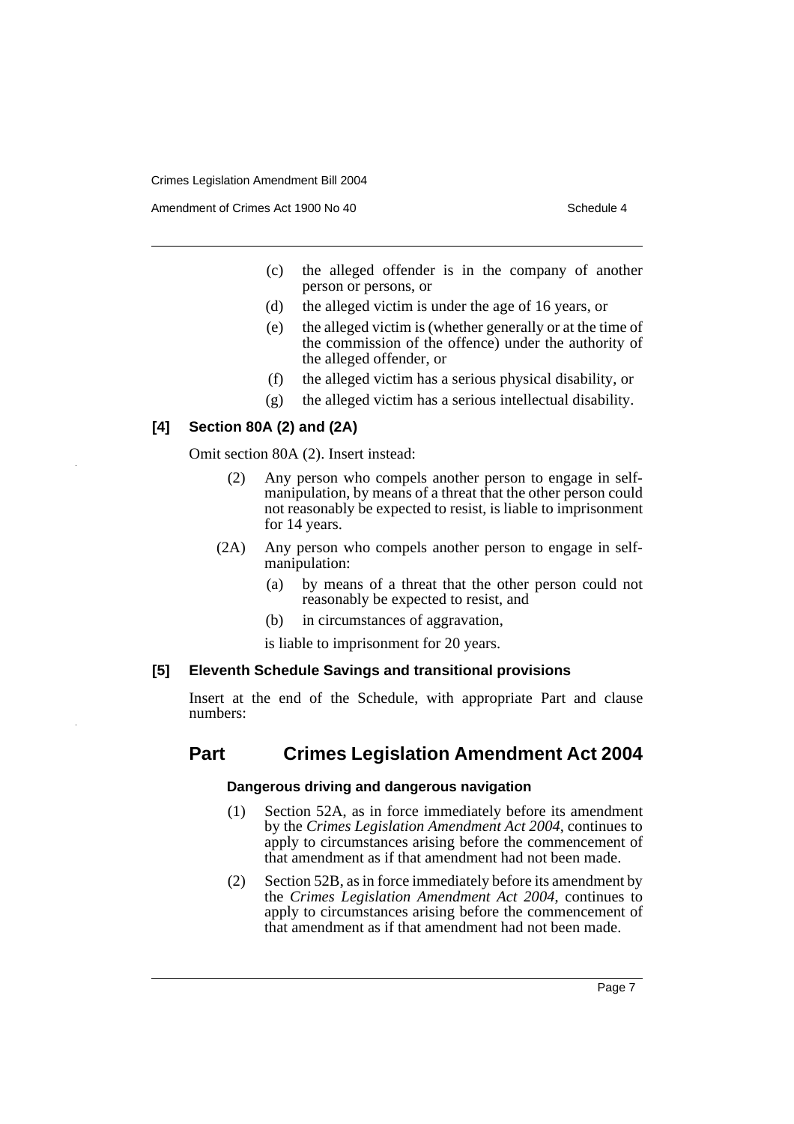Amendment of Crimes Act 1900 No 40 Schedule 4

- (c) the alleged offender is in the company of another person or persons, or
- (d) the alleged victim is under the age of 16 years, or
- (e) the alleged victim is (whether generally or at the time of the commission of the offence) under the authority of the alleged offender, or
- (f) the alleged victim has a serious physical disability, or
- (g) the alleged victim has a serious intellectual disability.

## **[4] Section 80A (2) and (2A)**

Omit section 80A (2). Insert instead:

- (2) Any person who compels another person to engage in selfmanipulation, by means of a threat that the other person could not reasonably be expected to resist, is liable to imprisonment for 14 years.
- (2A) Any person who compels another person to engage in selfmanipulation:
	- (a) by means of a threat that the other person could not reasonably be expected to resist, and
	- (b) in circumstances of aggravation,

is liable to imprisonment for 20 years.

## **[5] Eleventh Schedule Savings and transitional provisions**

Insert at the end of the Schedule, with appropriate Part and clause numbers:

# **Part Crimes Legislation Amendment Act 2004**

## **Dangerous driving and dangerous navigation**

- (1) Section 52A, as in force immediately before its amendment by the *Crimes Legislation Amendment Act 2004*, continues to apply to circumstances arising before the commencement of that amendment as if that amendment had not been made.
- (2) Section 52B, as in force immediately before its amendment by the *Crimes Legislation Amendment Act 2004*, continues to apply to circumstances arising before the commencement of that amendment as if that amendment had not been made.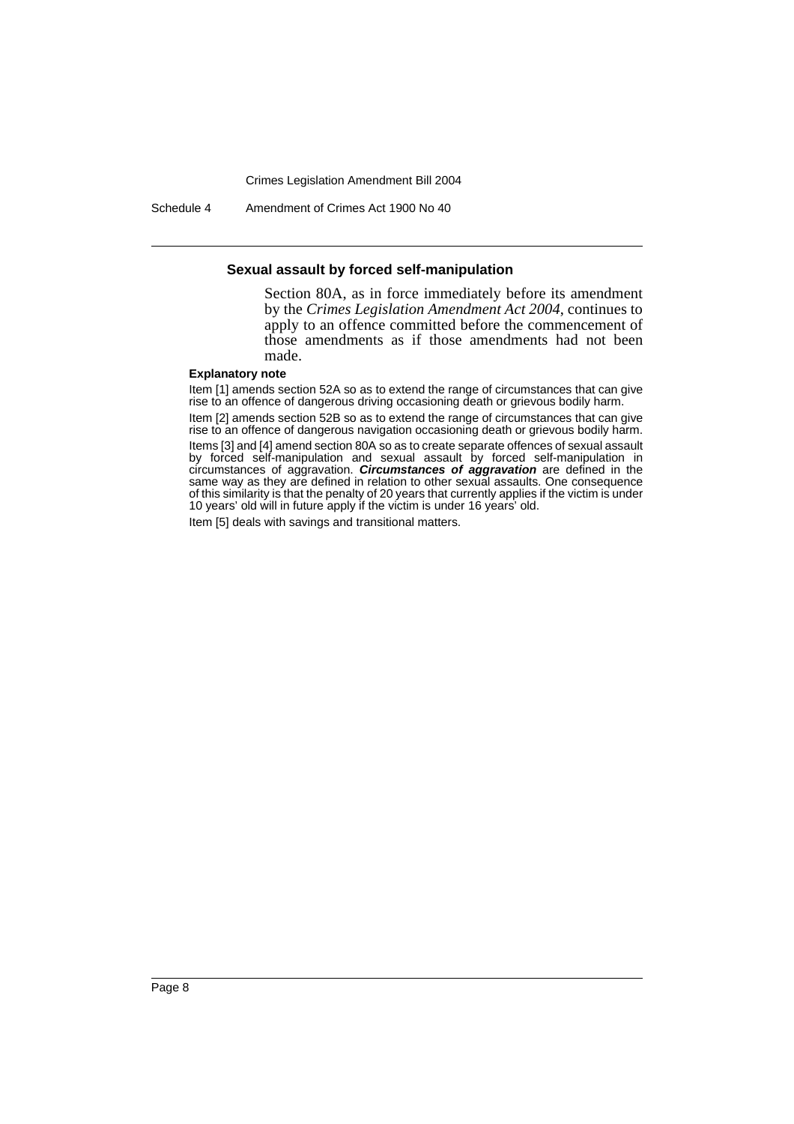Schedule 4 Amendment of Crimes Act 1900 No 40

#### **Sexual assault by forced self-manipulation**

Section 80A, as in force immediately before its amendment by the *Crimes Legislation Amendment Act 2004*, continues to apply to an offence committed before the commencement of those amendments as if those amendments had not been made.

#### **Explanatory note**

Item [1] amends section 52A so as to extend the range of circumstances that can give rise to an offence of dangerous driving occasioning death or grievous bodily harm. Item [2] amends section 52B so as to extend the range of circumstances that can give rise to an offence of dangerous navigation occasioning death or grievous bodily harm. Items [3] and [4] amend section 80A so as to create separate offences of sexual assault by forced self-manipulation and sexual assault by forced self-manipulation in circumstances of aggravation. **Circumstances of aggravation** are defined in the same way as they are defined in relation to other sexual assaults. One consequence of this similarity is that the penalty of 20 years that currently applies if the victim is under 10 years' old will in future apply if the victim is under 16 years' old.

Item [5] deals with savings and transitional matters.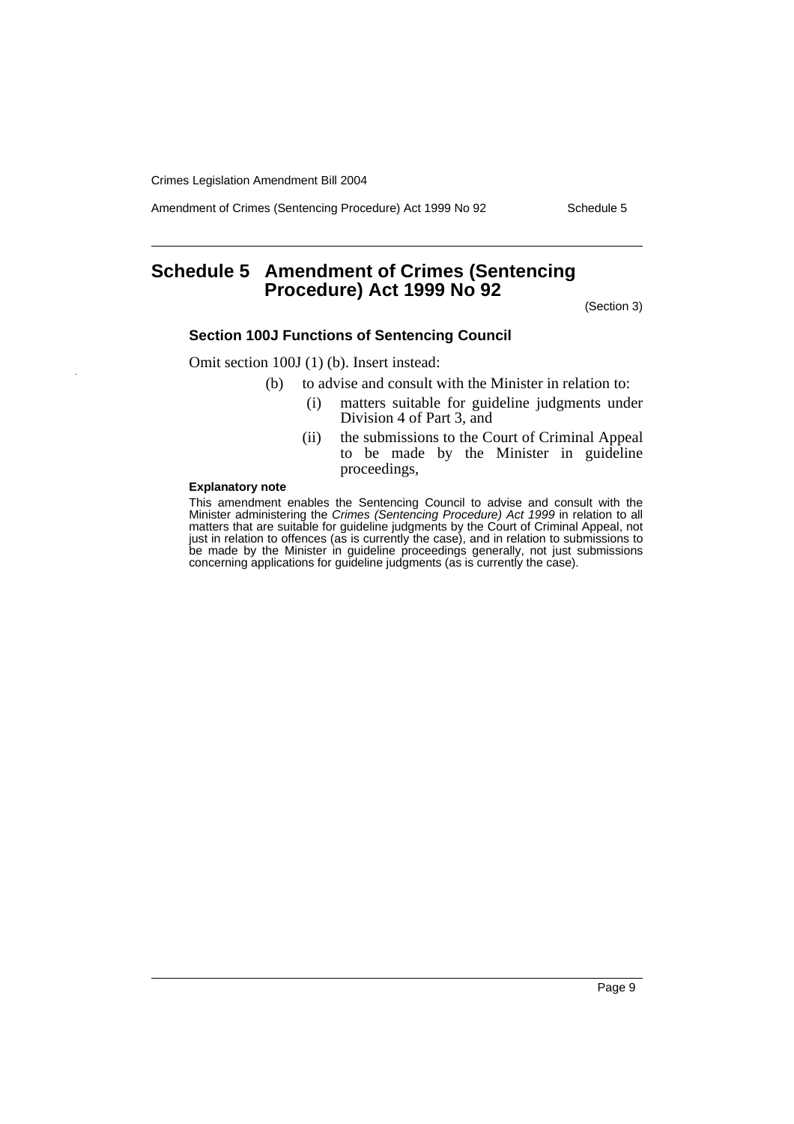Amendment of Crimes (Sentencing Procedure) Act 1999 No 92 Schedule 5

# **Schedule 5 Amendment of Crimes (Sentencing Procedure) Act 1999 No 92**

(Section 3)

## **Section 100J Functions of Sentencing Council**

Omit section 100J (1) (b). Insert instead:

- (b) to advise and consult with the Minister in relation to:
	- (i) matters suitable for guideline judgments under Division 4 of Part 3, and
	- (ii) the submissions to the Court of Criminal Appeal to be made by the Minister in guideline proceedings,

#### **Explanatory note**

This amendment enables the Sentencing Council to advise and consult with the Minister administering the Crimes (Sentencing Procedure) Act 1999 in relation to all matters that are suitable for guideline judgments by the Court of Criminal Appeal, not just in relation to offences (as is currently the case), and in relation to submissions to be made by the Minister in guideline proceedings generally, not just submissions concerning applications for guideline judgments (as is currently the case).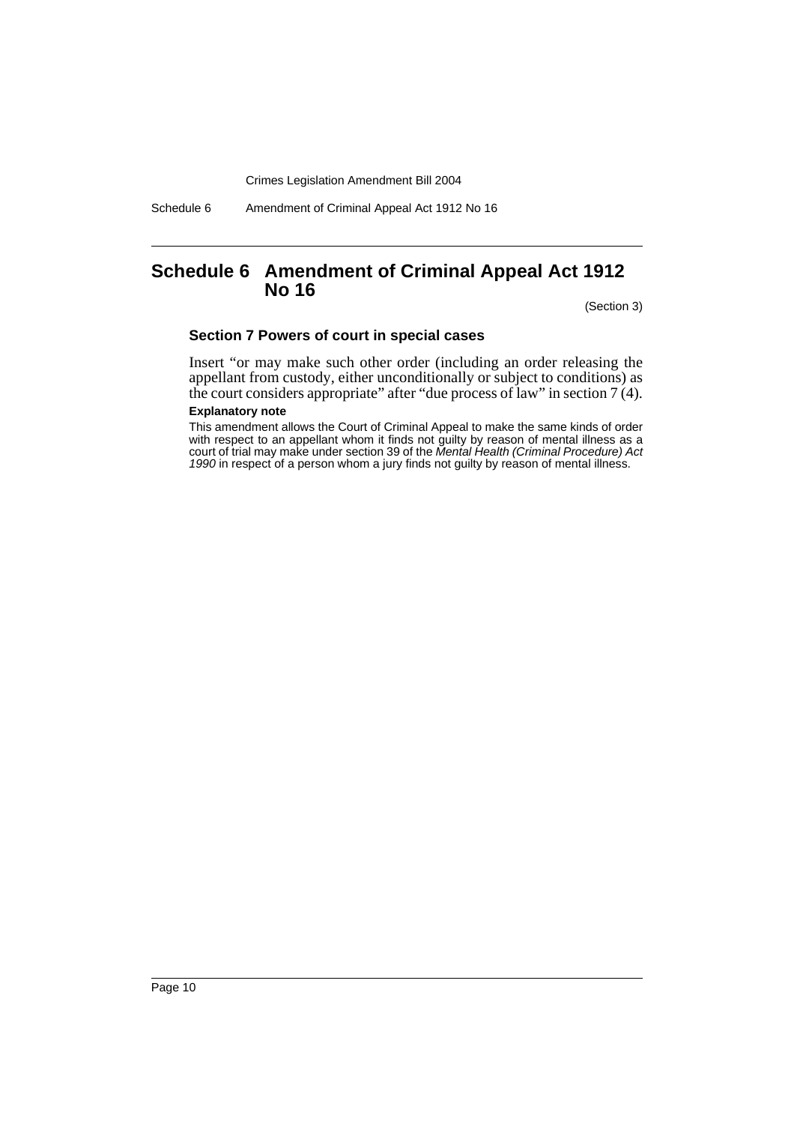Schedule 6 Amendment of Criminal Appeal Act 1912 No 16

# **Schedule 6 Amendment of Criminal Appeal Act 1912 No 16**

(Section 3)

## **Section 7 Powers of court in special cases**

Insert "or may make such other order (including an order releasing the appellant from custody, either unconditionally or subject to conditions) as the court considers appropriate" after "due process of law" in section 7 (4).

## **Explanatory note**

This amendment allows the Court of Criminal Appeal to make the same kinds of order with respect to an appellant whom it finds not guilty by reason of mental illness as a court of trial may make under section 39 of the Mental Health (Criminal Procedure) Act 1990 in respect of a person whom a jury finds not guilty by reason of mental illness.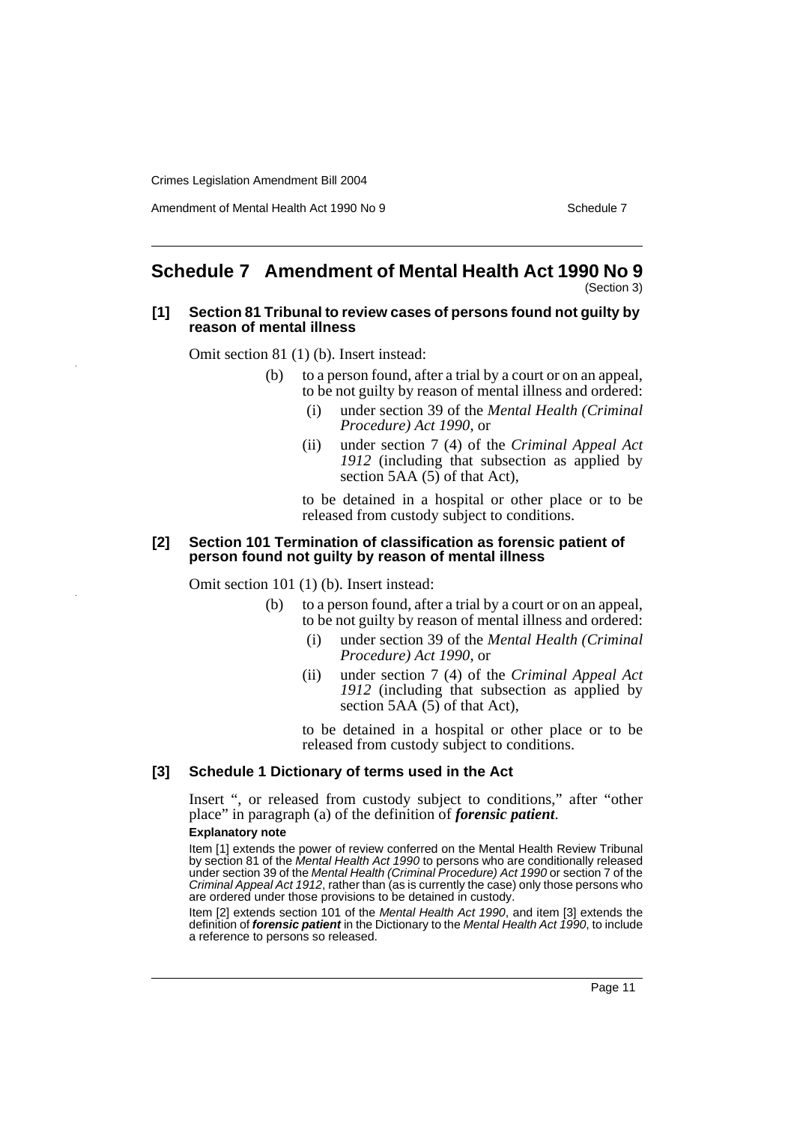Amendment of Mental Health Act 1990 No 9 Schedule 7

#### **Schedule 7 Amendment of Mental Health Act 1990 No 9** (Section 3)

#### **[1] Section 81 Tribunal to review cases of persons found not guilty by reason of mental illness**

Omit section 81 (1) (b). Insert instead:

- (b) to a person found, after a trial by a court or on an appeal, to be not guilty by reason of mental illness and ordered:
	- (i) under section 39 of the *Mental Health (Criminal Procedure) Act 1990*, or
	- (ii) under section 7 (4) of the *Criminal Appeal Act 1912* (including that subsection as applied by section 5AA (5) of that Act),

to be detained in a hospital or other place or to be released from custody subject to conditions.

### **[2] Section 101 Termination of classification as forensic patient of person found not guilty by reason of mental illness**

Omit section 101 (1) (b). Insert instead:

- (b) to a person found, after a trial by a court or on an appeal, to be not guilty by reason of mental illness and ordered:
	- (i) under section 39 of the *Mental Health (Criminal Procedure) Act 1990*, or
	- (ii) under section 7 (4) of the *Criminal Appeal Act 1912* (including that subsection as applied by section 5AA (5) of that Act),

to be detained in a hospital or other place or to be released from custody subject to conditions.

## **[3] Schedule 1 Dictionary of terms used in the Act**

Insert ", or released from custody subject to conditions," after "other place" in paragraph (a) of the definition of *forensic patient*.

### **Explanatory note**

Item [1] extends the power of review conferred on the Mental Health Review Tribunal by section 81 of the Mental Health Act 1990 to persons who are conditionally released under section 39 of the Mental Health (Criminal Procedure) Act 1990 or section 7 of the Criminal Appeal Act 1912, rather than (as is currently the case) only those persons who are ordered under those provisions to be detained in custody.

Item [2] extends section 101 of the Mental Health Act 1990, and item [3] extends the definition of **forensic patient** in the Dictionary to the Mental Health Act 1990, to include a reference to persons so released.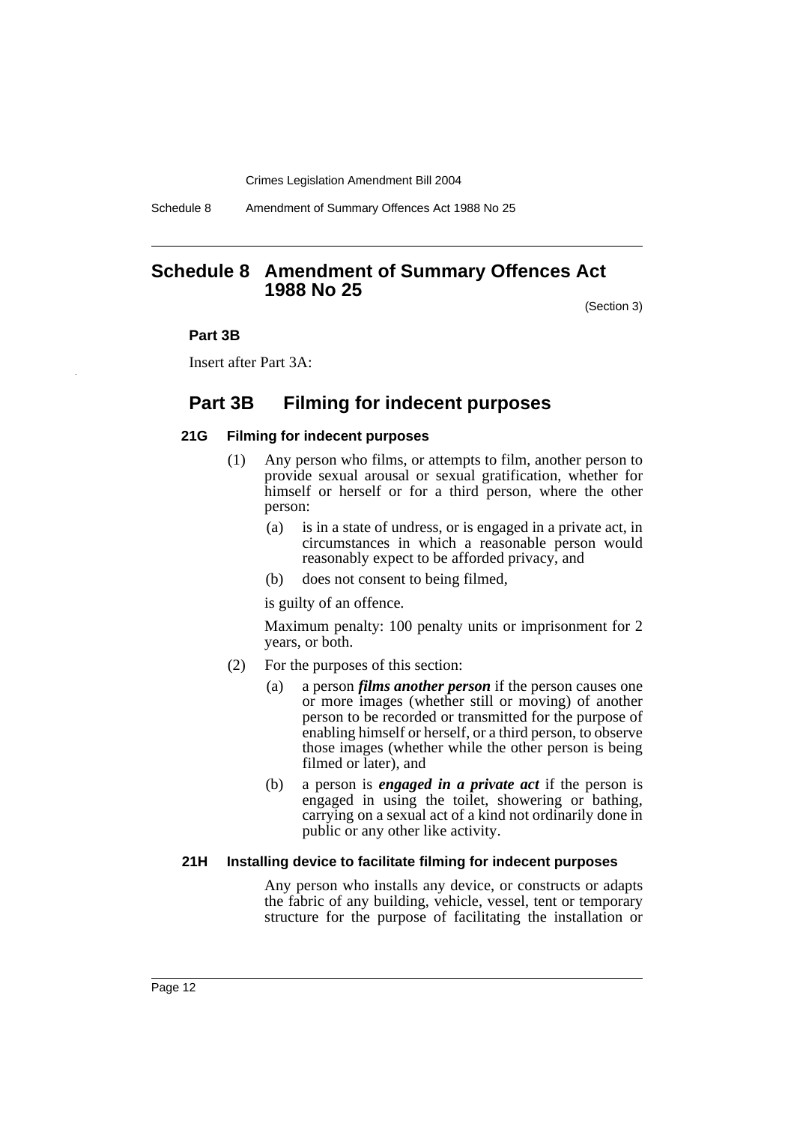Schedule 8 Amendment of Summary Offences Act 1988 No 25

# **Schedule 8 Amendment of Summary Offences Act 1988 No 25**

(Section 3)

#### **Part 3B**

Insert after Part 3A:

# **Part 3B Filming for indecent purposes**

#### **21G Filming for indecent purposes**

- (1) Any person who films, or attempts to film, another person to provide sexual arousal or sexual gratification, whether for himself or herself or for a third person, where the other person:
	- (a) is in a state of undress, or is engaged in a private act, in circumstances in which a reasonable person would reasonably expect to be afforded privacy, and
	- (b) does not consent to being filmed,

is guilty of an offence.

Maximum penalty: 100 penalty units or imprisonment for 2 years, or both.

- (2) For the purposes of this section:
	- (a) a person *films another person* if the person causes one or more images (whether still or moving) of another person to be recorded or transmitted for the purpose of enabling himself or herself, or a third person, to observe those images (whether while the other person is being filmed or later), and
	- (b) a person is *engaged in a private act* if the person is engaged in using the toilet, showering or bathing, carrying on a sexual act of a kind not ordinarily done in public or any other like activity.

#### **21H Installing device to facilitate filming for indecent purposes**

Any person who installs any device, or constructs or adapts the fabric of any building, vehicle, vessel, tent or temporary structure for the purpose of facilitating the installation or